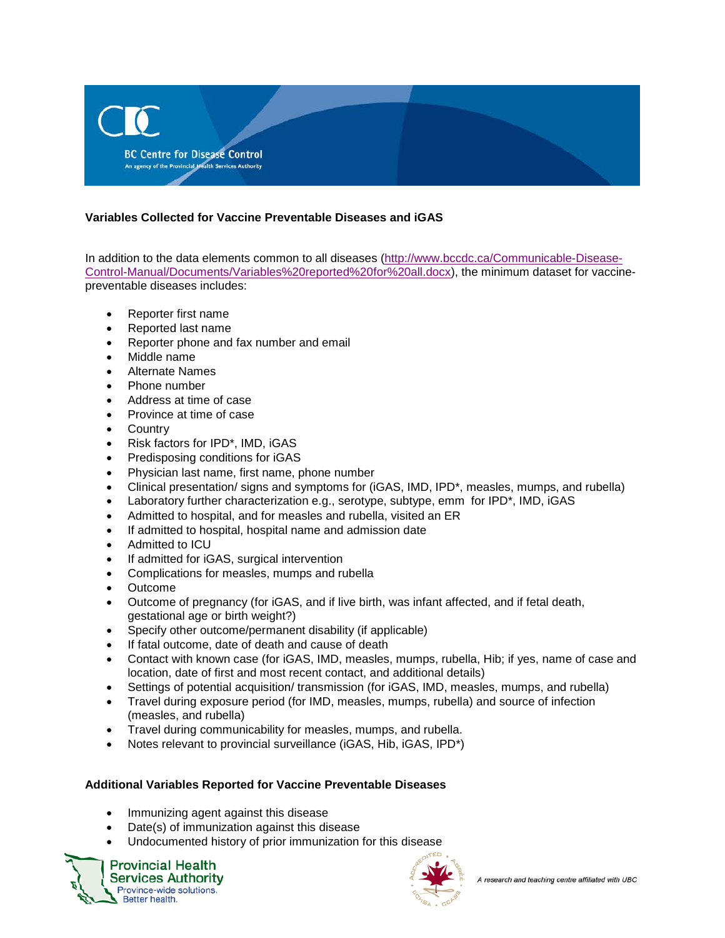

## **Variables Collected for Vaccine Preventable Diseases and iGAS**

In addition to the data elements common to all diseases [\(http://www.bccdc.ca/Communicable-Disease-](http://www.bccdc.ca/Communicable-Disease-Control-Manual/Documents/Variables%20reported%20for%20all.docx)[Control-Manual/Documents/Variables%20reported%20for%20all.docx\)](http://www.bccdc.ca/Communicable-Disease-Control-Manual/Documents/Variables%20reported%20for%20all.docx), the minimum dataset for vaccinepreventable diseases includes:

- Reporter first name
- Reported last name
- Reporter phone and fax number and email
- Middle name
- Alternate Names
- Phone number
- Address at time of case
- Province at time of case
- Country
- Risk factors for IPD\*, IMD, iGAS
- Predisposing conditions for iGAS
- Physician last name, first name, phone number
- Clinical presentation/ signs and symptoms for (iGAS, IMD, IPD\*, measles, mumps, and rubella)
- Laboratory further characterization e.g., serotype, subtype, emm for IPD\*, IMD, iGAS
- Admitted to hospital, and for measles and rubella, visited an ER
- If admitted to hospital, hospital name and admission date
- Admitted to ICU
- If admitted for iGAS, surgical intervention
- Complications for measles, mumps and rubella
- Outcome
- Outcome of pregnancy (for iGAS, and if live birth, was infant affected, and if fetal death, gestational age or birth weight?)
- Specify other outcome/permanent disability (if applicable)
- If fatal outcome, date of death and cause of death
- Contact with known case (for iGAS, IMD, measles, mumps, rubella, Hib; if yes, name of case and location, date of first and most recent contact, and additional details)
- Settings of potential acquisition/ transmission (for iGAS, IMD, measles, mumps, and rubella)
- Travel during exposure period (for IMD, measles, mumps, rubella) and source of infection (measles, and rubella)
- Travel during communicability for measles, mumps, and rubella.
- Notes relevant to provincial surveillance (iGAS, Hib, iGAS, IPD\*)

## **Additional Variables Reported for Vaccine Preventable Diseases**

- Immunizing agent against this disease
- Date(s) of immunization against this disease
- Undocumented history of prior immunization for this disease